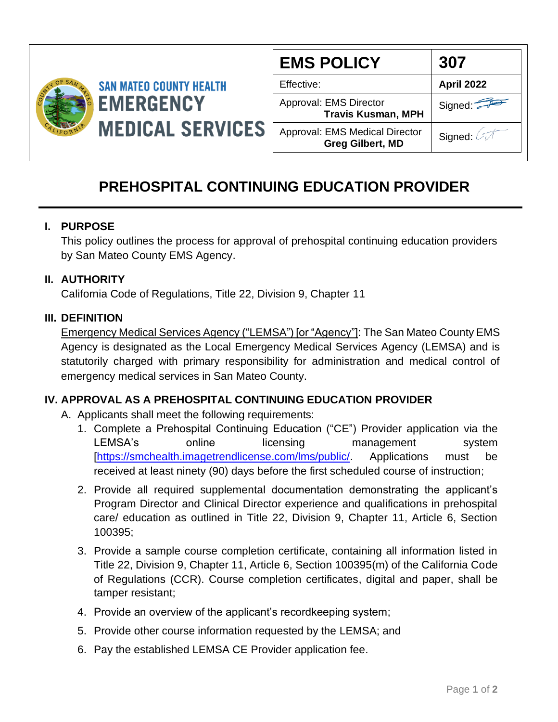

| <b>EMS POLICY</b>                                         | 307        |
|-----------------------------------------------------------|------------|
| Effective:                                                | April 2022 |
| Approval: EMS Director<br><b>Travis Kusman, MPH</b>       | Signed:    |
| Approval: EMS Medical Director<br><b>Greg Gilbert, MD</b> | Signed: 2  |

# **PREHOSPITAL CONTINUING EDUCATION PROVIDER**

## **I. PURPOSE**

This policy outlines the process for approval of prehospital continuing education providers by San Mateo County EMS Agency.

## **II. AUTHORITY**

California Code of Regulations, Title 22, Division 9, Chapter 11

#### **III. DEFINITION**

Emergency Medical Services Agency ("LEMSA") [or "Agency"]: The San Mateo County EMS Agency is designated as the Local Emergency Medical Services Agency (LEMSA) and is statutorily charged with primary responsibility for administration and medical control of emergency medical services in San Mateo County.

#### **IV. APPROVAL AS A PREHOSPITAL CONTINUING EDUCATION PROVIDER**

- A. Applicants shall meet the following requirements:
	- 1. Complete a Prehospital Continuing Education ("CE") Provider application via the LEMSA's online licensing management system [\[https://smchealth.imagetrendlicense.com/lms/public/.](https://smchealth.imagetrendlicense.com/lms/public/) Applications must be received at least ninety (90) days before the first scheduled course of instruction;
	- 2. Provide all required supplemental documentation demonstrating the applicant's Program Director and Clinical Director experience and qualifications in prehospital care/ education as outlined in Title 22, Division 9, Chapter 11, Article 6, Section 100395;
	- 3. Provide a sample course completion certificate, containing all information listed in Title 22, Division 9, Chapter 11, Article 6, Section 100395(m) of the California Code of Regulations (CCR). Course completion certificates, digital and paper, shall be tamper resistant;
	- 4. Provide an overview of the applicant's recordkeeping system;
	- 5. Provide other course information requested by the LEMSA; and
	- 6. Pay the established LEMSA CE Provider application fee.